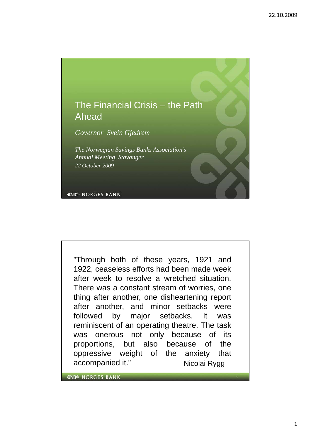

*The Norwegian Savings Banks Association The Norwegian Savings Banks Association s' Annual Meeting, Stavanger 22 October 2009*

*&NB& NORGES BANK* 

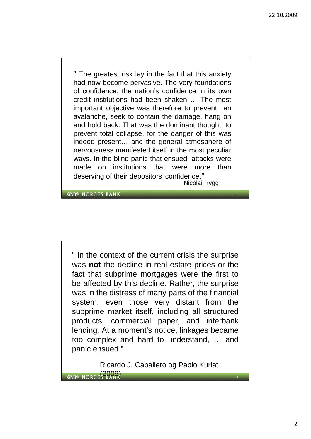3

4

" The greatest risk lay in the fact that this anxiety had now become pervasive. The very foundations of confidence, the nation's confidence in its own credit institutions had been shaken … The most important objective was therefore to prevent an avalanche, seek to contain the damage, hang on and hold back. That was the dominant thought, to prevent total collapse, for the danger of this was indeed present… and the general atmosphere of nervousness manifested itself in the most peculiar ways. In the blind panic that ensued, attacks were made on institutions that were more than deserving of their depositors' confidence." Nicolai Rygg

*<b>&NB& NORGES BANK* 

" In the context of the current crisis the surprise was **not** the decline in real estate prices or the fact that subprime mortgages were the first to be affected by this decline. Rather, the surprise was in the distress of many parts of the financial system, even those very distant from the subprime market itself, including all structured products, commercial paper, and interbank lending. At a moment's notice, linkages became too complex and hard to understand, … and panic ensued."

Ricardo J. Caballero og Pablo Kurlat *«NB» NORGE* 2009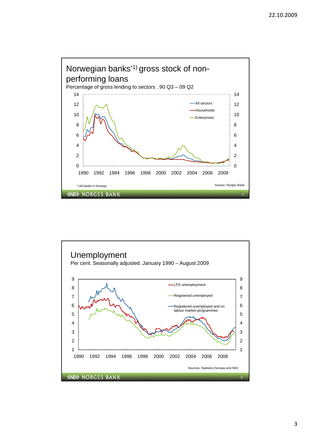

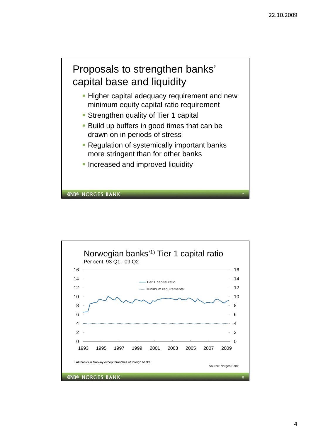

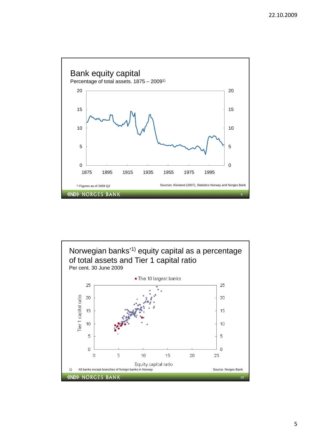



5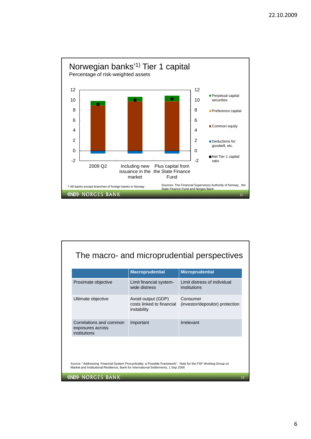

|                                                             | <b>Macroprudential</b>                                         | <b>Microprudential</b>                        |
|-------------------------------------------------------------|----------------------------------------------------------------|-----------------------------------------------|
| Proximate objective                                         | Limit financial system-<br>wide distress                       | I imit distress of individual<br>institutions |
| Ultimate objective                                          | Avoid output (GDP)<br>costs linked to financial<br>instability | Consumer<br>(investor/depositor) protection   |
| Correlations and common<br>exposures across<br>institutions | Important                                                      | Irrelevant                                    |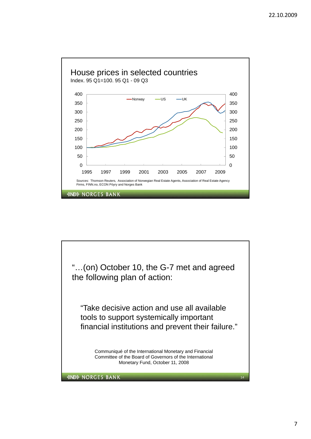

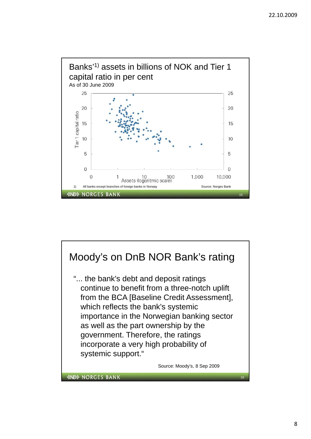

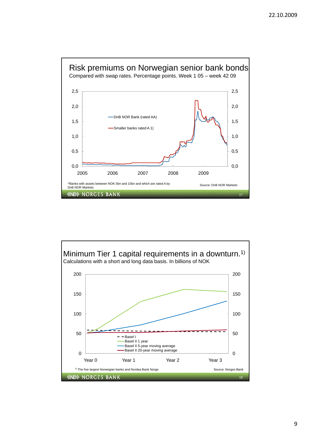

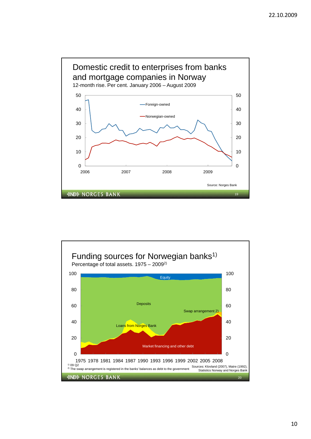

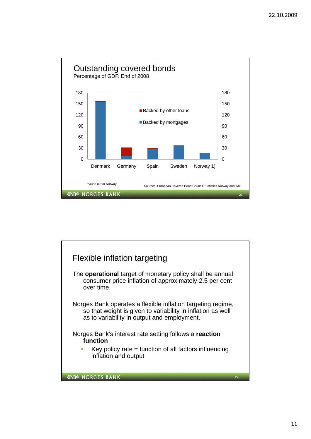

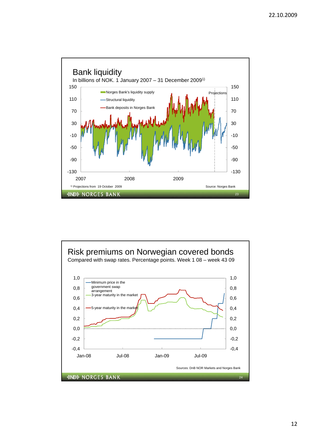